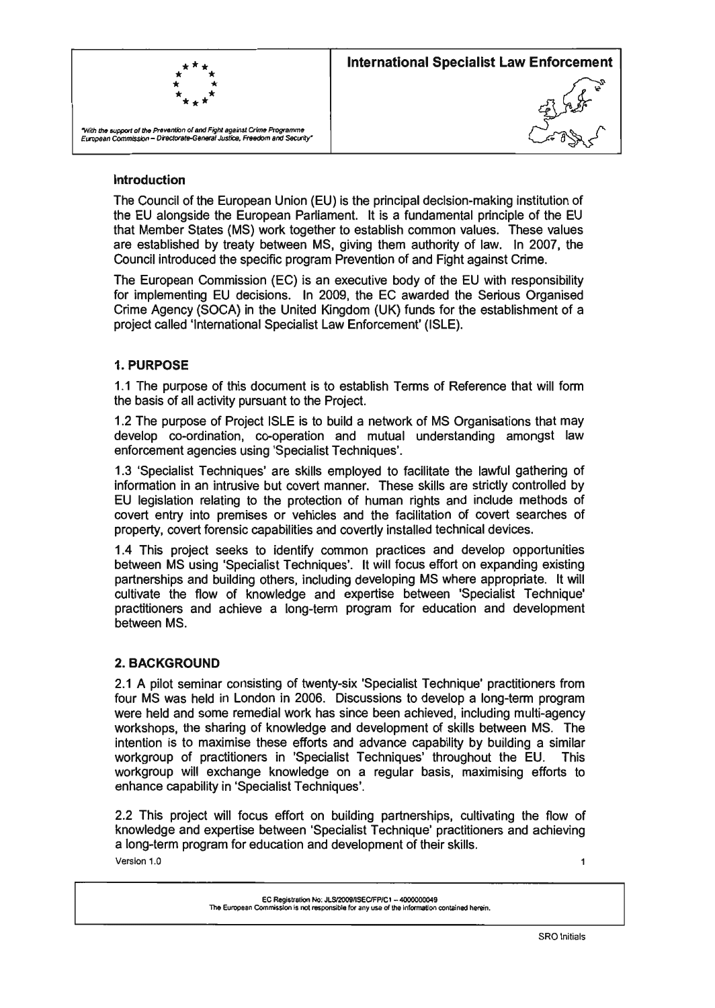

#### **Introduction**

The Council of the European Union (EU) is the principal decision-making institution of the EU alongside the European Parliament. It is a fundamental principle of the EU that Member States (MS) work together to establish common values. These values are established by treaty between MS, giving them authority of law. In 2007, the Council introduced the specific program Prevention of and Fight against Crime.

The European Commission (EC) is an executive body of the EU with responsibility for implementing EU decisions. In 2009, the EC awarded the Serious Organised Crime Agency (SOCA) in the United Kingdom (UK) funds for the establishment of a project called 'Intemational Specialist Law Enforcement' (ISLE).

### 1. **PURPOSE**

1.1 The purpose of this document is to establish Terms of Reference that will form the basis of all activity pursuant to the Project.

1.2 The purpose of Project ISLE is to build a network of MS Organisations that may develop co-ordination, co-operation and mutual understanding amongst law enforcement agencies using 'Specialist Techniques'.

1.3 'Specialist Techniques' are skills employed to facilitate the lawful gathering of information in an intrusive but covert manner. These skills are strictly controlled by EU legislation relating to the protection of human rights and include methods of covert entry into premises or vehicles and the facilitation of covert searches of property, covert forensic capabilities and covertly installed technical devices.

1.4 This project seeks to identify common practices and develop opportunities between MS using 'Specialist Techniques'. It will focus effort on expanding existing partnerships and building others, including developing MS where appropriate. It will cultivate the flow of knowledge and expertise between 'Specialist Technique' practitioners and achieve a long-term program for education and development between MS.

#### 2. **BACKGROUND**

2.1 A pilot seminar consisting of twenty-six 'Specialist Technique' practitioners from four MS was held in London in 2006. Discussions to develop a long-term program were held and some remedial work has since been achieved, including multi-agency workshops, the sharing of knowledge and development of skills between MS. The intention is to maximise these efforts and advance capability by building a similar workgroup of practitioners in 'Specialist Techniques' throughout the EU. This workgroup will exchange knowledge on a regular basis, maximising efforts to enhance capability in 'Specialist Techniques'.

2.2 This project will focus effort on building partnerships, cultivating the flow of knowledge and expertise between 'Specialist Technique' practitioners and achieving a long-term program for education and development of their skills. Version 1.0  $\overline{1}$ 

EC Registration No: JLS/2009/ISEC/FP/C1 - 4000000049 The European Commission is not responsible for any use of the information contained herein.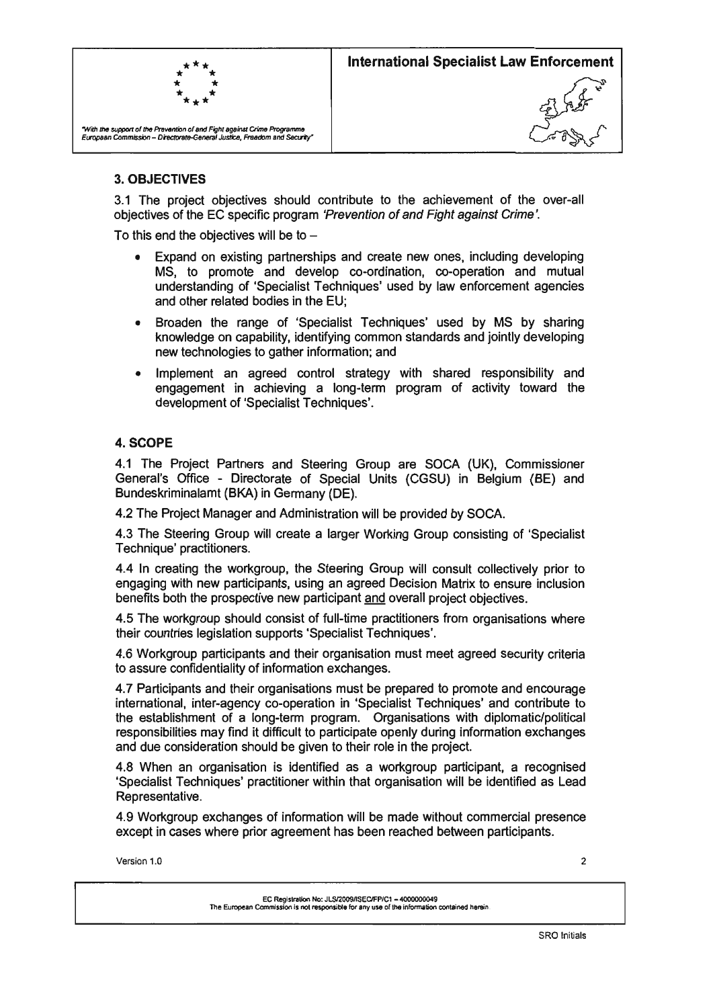

## 3. OBJECTIVES

3.1 The project objectives should contribute to the achievement of the over-all objectives of the EC specific program 'Prevention of and Fight against Crime '.

To this end the objectives will be to  $-$ 

- Expand on existing partnerships and create new ones, including developing MS, to promote and develop co-ordination, co-operation and mutual understanding of 'Specialist Techniques' used by law enforcement agencies and other related bodies in the EU;
- Broaden the range of 'Specialist Techniques' used by MS by sharing knowledge on capability, identifying common standards and jointly developing new technologies to gather information; and
- Implement an agreed control strategy with shared responsibility and engagement in achieving a long-term program of activity toward the development of 'Specialist Techniques'.

### 4. SCOPE

4.1 The Project Partners and Steering Group are SOCA (UK), Commissioner General's Office - Directorate of Special Units (CGSU) in Belgium (BE) and Bundeskriminalamt (BKA) in Germany (DE).

4.2 The Project Manager and Administration will be provided by SOCA.

4.3 The Steering Group will create a larger Working Group consisting of 'Specialist Technique' practitioners.

4.4 In creating the workgroup, the Steering Group will consult collectively prior to engaging with new participants, using an agreed Decision Matrix to ensure inclusion benefits both the prospective new participant and overall project objectives.

4.5 The workgroup should consist of full-time practitioners from organisations where their countries legislation supports 'Specialist Techniques'.

4.6 Workgroup participants and their organisation must meet agreed security criteria to assure confidentiality of information exchanges.

4.7 Participants and their organisations must be prepared to promote and encourage international, inter-agency co-operation in 'Specialist Techniques' and contribute to the establishment of a long-term program. Organisations with diplomatic/political responsibilities may find it difficult to participate openly during information exchanges and due consideration should be given to their role in the project.

4.8 When an organisation is identified as a workgroup participant, a recognised 'Specialist Techniques' practitioner within that organisation will be identified as Lead Representative.

4.9 Workgroup exchanges of information will be made without commercial presence except in cases where prior agreement has been reached between participants.

Version 1.0 2

EC Reglstrallon No: JLSI2009nSEClFP/Cl - 4000000049 The European Commission Is not responsible for any use of the information oontained herein.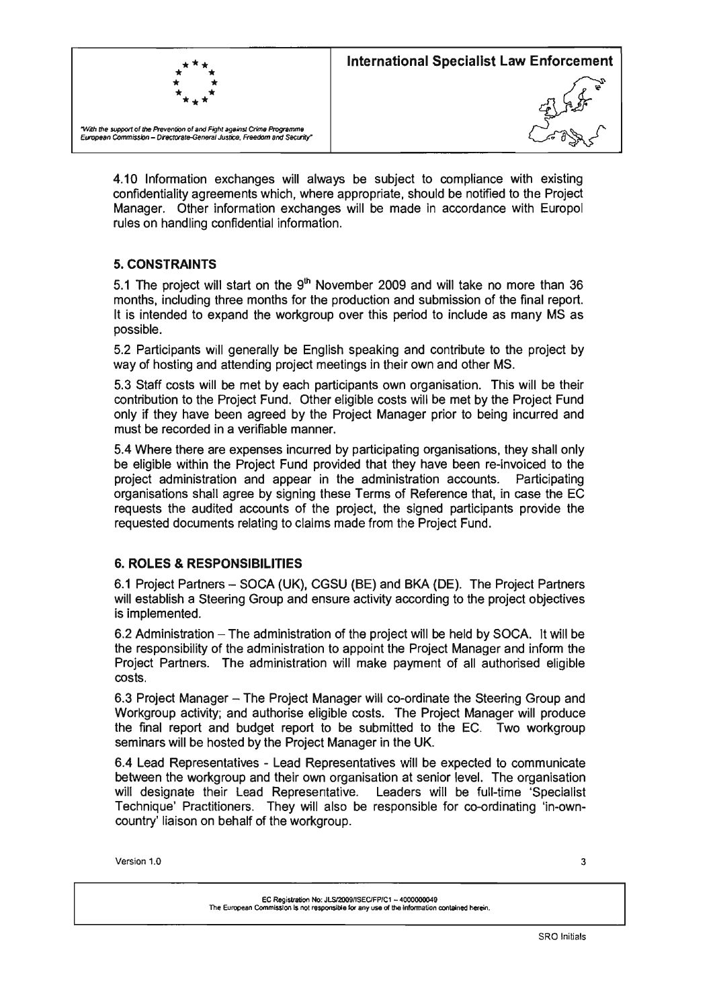

4.10 Information exchanges will always be subject to compliance with existing confidentiality agreements which, where appropriate, should be notified to the Project Manager. Other information exchanges will be made in accordance with Europol rules on handling confidential information.

## 5. **CONSTRAINTS**

5.1 The project will start on the  $9<sup>th</sup>$  November 2009 and will take no more than 36 months, including three months for the production and submission of the final report. It is intended to expand the workgroup over this period to include as many MS as possible.

5.2 Participants will generally be English speaking and contribute to the project by way of hosting and attending project meetings in their own and other MS.

5.3 Staff costs will be met by each participants own organisation. This will be their contribution to the Project Fund. Other eligible costs will be met by the Project Fund only if they have been agreed by the Project Manager prior to being incurred and must be recorded in a verifiable manner.

5.4 Where there are expenses incurred by participating organisations, they shall only be eligible within the Project Fund provided that they have been re-invoiced to the project administration and appear in the administration accounts. Participating organisations shall agree by signing these Terms of Reference that, in case the EC requests the audited accounts of the project, the signed participants provide the requested documents relating to claims made from the Project Fund.

### 6. **ROLES & RESPONSIBILITIES**

6.1 Project Partners - SOCA (UK), CGSU (BE) and BKA (DE). The Project Partners will establish a Steering Group and ensure activity according to the project objectives is implemented.

6.2 Administration - The administration of the project will be held by SOCA. It will be the responsibility of the administration to appoint the Project Manager and inform the Project Partners. The administration will make payment of all authorised eligible costs.

6.3 Project Manager - The Project Manager will co-ordinate the Steering Group and Workgroup activity; and authorise eligible costs. The Project Manager will produce the final report and budget report to be submitted to the EC. Two workgroup seminars will be hosted by the Project Manager in the UK.

6.4 Lead Representatives - Lead Representatives will be expected to communicate between the workgroup and their own organisation at senior level. The organisation will designate their Lead Representative. Leaders will be full-time 'Specialist Technique' Practitioners. They will also be responsible for co-ordinating 'in-owncountry' liaison on behalf of the workgroup.

 $V$ ersion 1.0  $3\overline{3}$ 

EC Registration No: JLSI2OO9nSEClFP/Cl - 4000000049 The European Commission Is not responsible for any use of the information contained herein.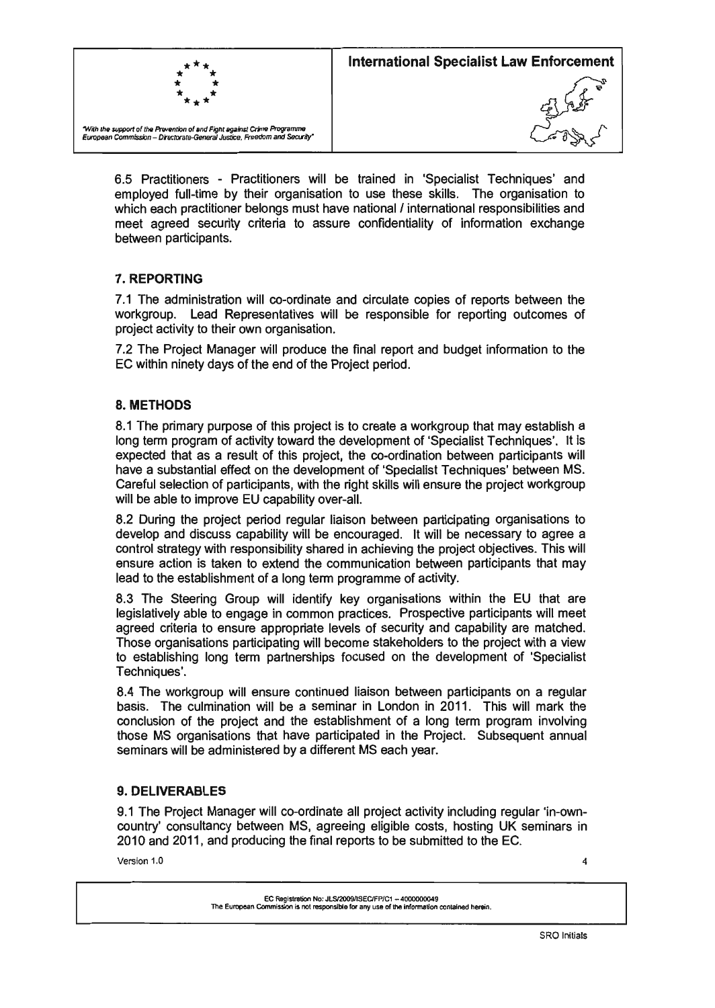

6.5 Practitioners - Practitioners will be trained in 'Specialist Techniques' and employed full-time by their organisation to use these skills. The organisation to which each practitioner belongs must have national *I* international responsibilities and meet agreed security criteria to assure confidentiality of information exchange between participants.

# 7. REPORTING

7.1 The administration will co-ordinate and circulate copies of reports between the workgroup. Lead Representatives will be responsible for reporting outcomes of project activity to their own organisation.

7.2 The Project Manager will produce the final report and budget information to the EC within ninety days of the end of the Project period.

## 8. METHODS

8.1 The primary purpose of this project is to create a workgroup that may establish a long term program of activity toward the development of 'Specialist Techniques'. It is expected that as a result of this project, the co-ordination between participants will have a substantial effect on the development of 'Specialist Techniques' between MS. Careful selection of participants, with the right skills will ensure the project workgroup will be able to improve EU capability over-all.

8.2 During the project period regular liaison between participating organisations to develop and discuss capability will be encouraged. It will be necessary to agree a control strategy with responsibility shared in achieving the project objectives. This will ensure action is taken to extend the communication between participants that may lead to the establishment of a long term programme of activity.

8.3 The Steering Group will identify key organisations within the EU that are legislatively able to engage in common practices. Prospective participants will meet agreed criteria to ensure appropriate levels of security and capability are matched. Those organisations participating will become stakeholders to the project with a view to establishing long term partnerships focused on the development of 'Specialist Techniques'.

8.4 The workgroup will ensure continued liaison between participants on a regular basis. The culmination will be a seminar in London in 2011. This will mark the conclusion of the project and the establishment of a long term program involving those MS organisations that have participated in the Project. Subsequent annual seminars will be administered by a different MS each year.

### 9. DELIVERABLES

9.1 The Project Manager will co-ordinate all project activity including regular 'in-owncountry' consultancy between MS, agreeing eligible costs, hosting UK seminars in 2010 and 2011, and producing the final reports to be submitted to the EC.

Version 1.0 4

EC Registration No: Jl.SI2OO9IISEClFP/C1 - 4000000049 The European Commission is not responsible for any use of the Information conlalned herein.